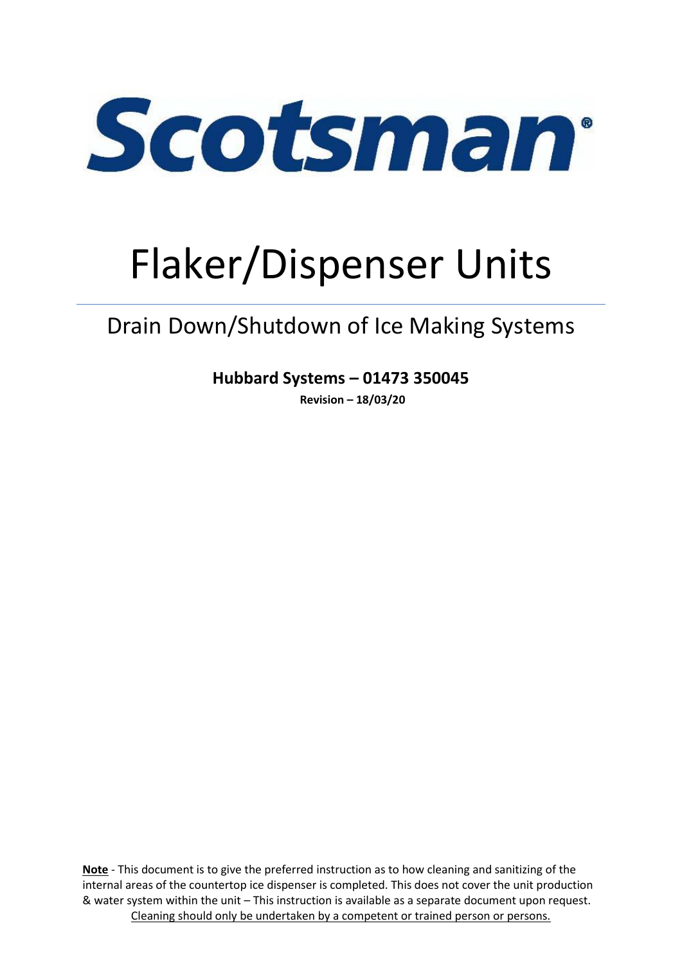

# Flaker/Dispenser Units

# Drain Down/Shutdown of Ice Making Systems

**Hubbard Systems – 01473 350045**

**Revision – 18/03/20**

**Note** - This document is to give the preferred instruction as to how cleaning and sanitizing of the internal areas of the countertop ice dispenser is completed. This does not cover the unit production & water system within the unit – This instruction is available as a separate document upon request. Cleaning should only be undertaken by a competent or trained person or persons.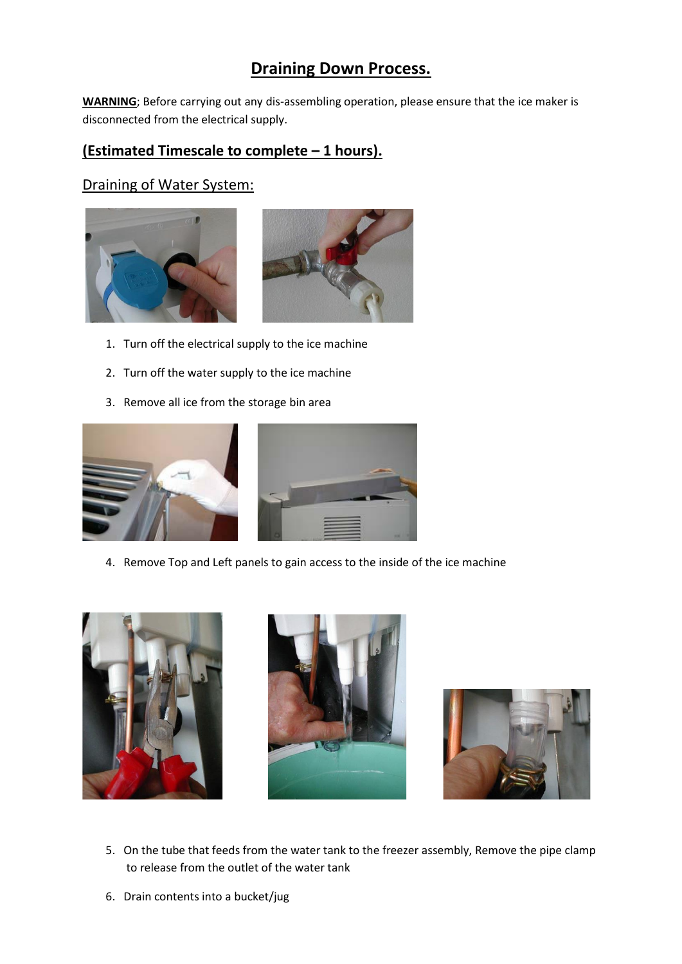## **Draining Down Process.**

**WARNING**; Before carrying out any dis-assembling operation, please ensure that the ice maker is disconnected from the electrical supply.

### **(Estimated Timescale to complete – 1 hours).**

#### Draining of Water System:





- 1. Turn off the electrical supply to the ice machine
- 2. Turn off the water supply to the ice machine
- 3. Remove all ice from the storage bin area





4. Remove Top and Left panels to gain access to the inside of the ice machine







- 5. On the tube that feeds from the water tank to the freezer assembly, Remove the pipe clamp to release from the outlet of the water tank
- 6. Drain contents into a bucket/jug